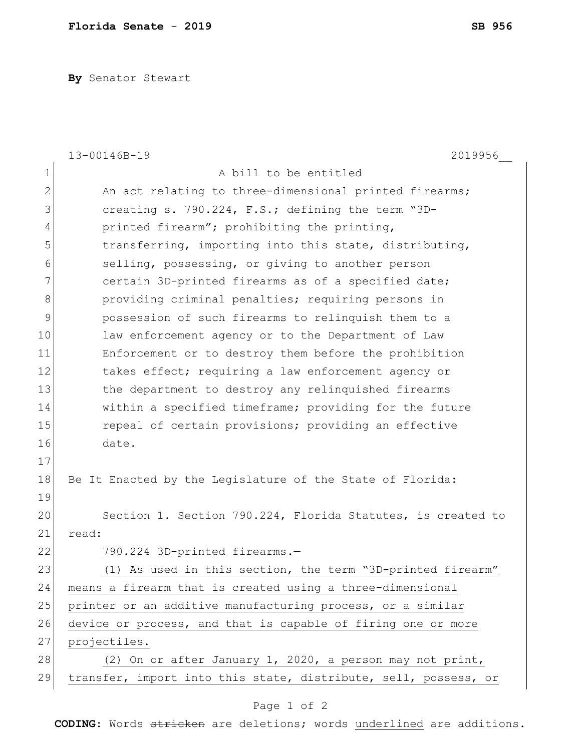**By** Senator Stewart

|    | 13-00146B-19<br>2019956                                         |
|----|-----------------------------------------------------------------|
| 1  | A bill to be entitled                                           |
| 2  | An act relating to three-dimensional printed firearms;          |
| 3  | creating s. 790.224, F.S.; defining the term "3D-               |
| 4  | printed firearm"; prohibiting the printing,                     |
| 5  | transferring, importing into this state, distributing,          |
| 6  | selling, possessing, or giving to another person                |
| 7  | certain 3D-printed firearms as of a specified date;             |
| 8  | providing criminal penalties; requiring persons in              |
| 9  | possession of such firearms to relinquish them to a             |
| 10 | law enforcement agency or to the Department of Law              |
| 11 | Enforcement or to destroy them before the prohibition           |
| 12 | takes effect; requiring a law enforcement agency or             |
| 13 | the department to destroy any relinquished firearms             |
| 14 | within a specified timeframe; providing for the future          |
| 15 | repeal of certain provisions; providing an effective            |
| 16 | date.                                                           |
| 17 |                                                                 |
| 18 | Be It Enacted by the Legislature of the State of Florida:       |
| 19 |                                                                 |
| 20 | Section 1. Section 790.224, Florida Statutes, is created to     |
| 21 | read:                                                           |
| 22 | 790.224 3D-printed firearms.-                                   |
| 23 | (1) As used in this section, the term "3D-printed firearm'      |
| 24 | means a firearm that is created using a three-dimensional       |
| 25 | printer or an additive manufacturing process, or a similar      |
| 26 | device or process, and that is capable of firing one or more    |
| 27 | projectiles.                                                    |
| 28 | (2) On or after January 1, 2020, a person may not print,        |
| 29 | transfer, import into this state, distribute, sell, possess, or |
|    |                                                                 |

## Page 1 of 2

**CODING**: Words stricken are deletions; words underlined are additions.